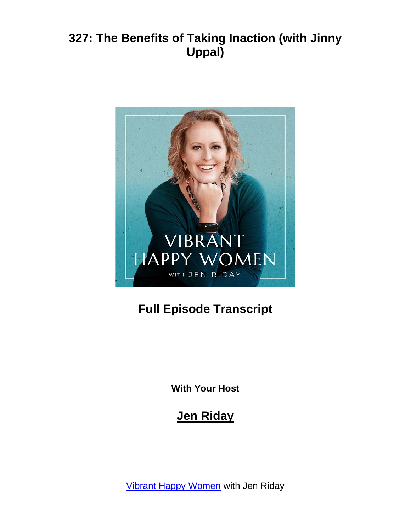

# **Full Episode Transcript**

**With Your Host**

## **Jen Riday**

**[Vibrant Happy Women](https://www.jenriday.com/podcast/)** with Jen Riday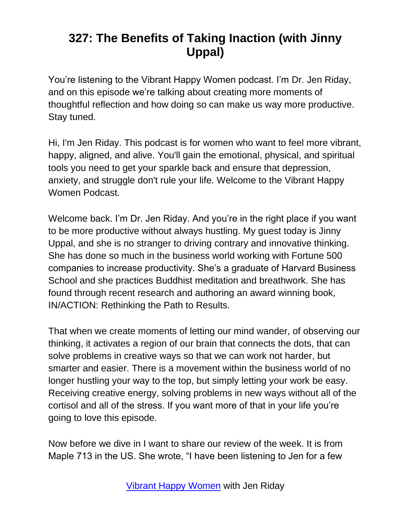You're listening to the Vibrant Happy Women podcast. I'm Dr. Jen Riday, and on this episode we're talking about creating more moments of thoughtful reflection and how doing so can make us way more productive. Stay tuned.

Hi, I'm Jen Riday. This podcast is for women who want to feel more vibrant, happy, aligned, and alive. You'll gain the emotional, physical, and spiritual tools you need to get your sparkle back and ensure that depression, anxiety, and struggle don't rule your life. Welcome to the Vibrant Happy Women Podcast.

Welcome back. I'm Dr. Jen Riday. And you're in the right place if you want to be more productive without always hustling. My guest today is Jinny Uppal, and she is no stranger to driving contrary and innovative thinking. She has done so much in the business world working with Fortune 500 companies to increase productivity. She's a graduate of Harvard Business School and she practices Buddhist meditation and breathwork. She has found through recent research and authoring an award winning book, IN/ACTION: Rethinking the Path to Results.

That when we create moments of letting our mind wander, of observing our thinking, it activates a region of our brain that connects the dots, that can solve problems in creative ways so that we can work not harder, but smarter and easier. There is a movement within the business world of no longer hustling your way to the top, but simply letting your work be easy. Receiving creative energy, solving problems in new ways without all of the cortisol and all of the stress. If you want more of that in your life you're going to love this episode.

Now before we dive in I want to share our review of the week. It is from Maple 713 in the US. She wrote, "I have been listening to Jen for a few

[Vibrant Happy Women](https://www.jenriday.com/podcast/) with Jen Riday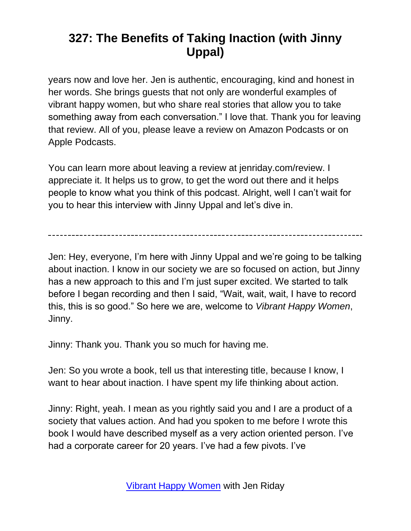years now and love her. Jen is authentic, encouraging, kind and honest in her words. She brings guests that not only are wonderful examples of vibrant happy women, but who share real stories that allow you to take something away from each conversation." I love that. Thank you for leaving that review. All of you, please leave a review on Amazon Podcasts or on Apple Podcasts.

You can learn more about leaving a review at jenriday.com/review. I appreciate it. It helps us to grow, to get the word out there and it helps people to know what you think of this podcast. Alright, well I can't wait for you to hear this interview with Jinny Uppal and let's dive in.

Jen: Hey, everyone, I'm here with Jinny Uppal and we're going to be talking about inaction. I know in our society we are so focused on action, but Jinny has a new approach to this and I'm just super excited. We started to talk before I began recording and then I said, "Wait, wait, wait, I have to record this, this is so good." So here we are, welcome to *Vibrant Happy Women*, Jinny.

Jinny: Thank you. Thank you so much for having me.

Jen: So you wrote a book, tell us that interesting title, because I know, I want to hear about inaction. I have spent my life thinking about action.

Jinny: Right, yeah. I mean as you rightly said you and I are a product of a society that values action. And had you spoken to me before I wrote this book I would have described myself as a very action oriented person. I've had a corporate career for 20 years. I've had a few pivots. I've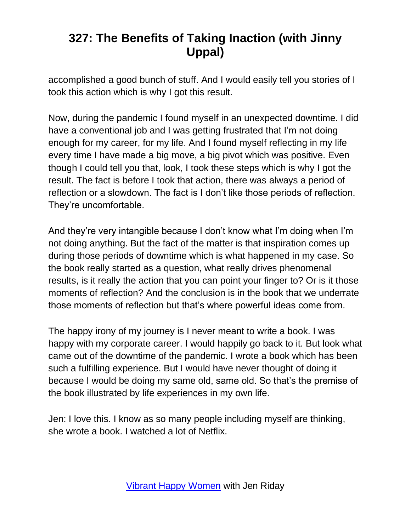accomplished a good bunch of stuff. And I would easily tell you stories of I took this action which is why I got this result.

Now, during the pandemic I found myself in an unexpected downtime. I did have a conventional job and I was getting frustrated that I'm not doing enough for my career, for my life. And I found myself reflecting in my life every time I have made a big move, a big pivot which was positive. Even though I could tell you that, look, I took these steps which is why I got the result. The fact is before I took that action, there was always a period of reflection or a slowdown. The fact is I don't like those periods of reflection. They're uncomfortable.

And they're very intangible because I don't know what I'm doing when I'm not doing anything. But the fact of the matter is that inspiration comes up during those periods of downtime which is what happened in my case. So the book really started as a question, what really drives phenomenal results, is it really the action that you can point your finger to? Or is it those moments of reflection? And the conclusion is in the book that we underrate those moments of reflection but that's where powerful ideas come from.

The happy irony of my journey is I never meant to write a book. I was happy with my corporate career. I would happily go back to it. But look what came out of the downtime of the pandemic. I wrote a book which has been such a fulfilling experience. But I would have never thought of doing it because I would be doing my same old, same old. So that's the premise of the book illustrated by life experiences in my own life.

Jen: I love this. I know as so many people including myself are thinking, she wrote a book. I watched a lot of Netflix.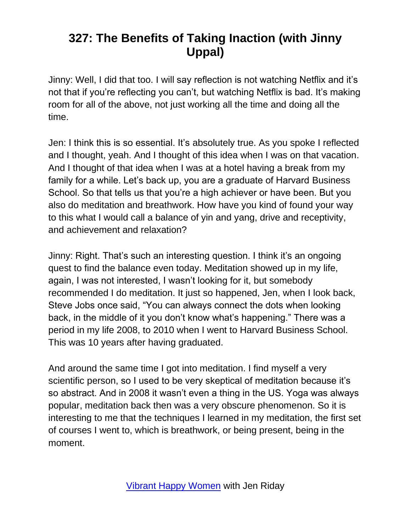Jinny: Well, I did that too. I will say reflection is not watching Netflix and it's not that if you're reflecting you can't, but watching Netflix is bad. It's making room for all of the above, not just working all the time and doing all the time.

Jen: I think this is so essential. It's absolutely true. As you spoke I reflected and I thought, yeah. And I thought of this idea when I was on that vacation. And I thought of that idea when I was at a hotel having a break from my family for a while. Let's back up, you are a graduate of Harvard Business School. So that tells us that you're a high achiever or have been. But you also do meditation and breathwork. How have you kind of found your way to this what I would call a balance of yin and yang, drive and receptivity, and achievement and relaxation?

Jinny: Right. That's such an interesting question. I think it's an ongoing quest to find the balance even today. Meditation showed up in my life, again, I was not interested, I wasn't looking for it, but somebody recommended I do meditation. It just so happened, Jen, when I look back, Steve Jobs once said, "You can always connect the dots when looking back, in the middle of it you don't know what's happening." There was a period in my life 2008, to 2010 when I went to Harvard Business School. This was 10 years after having graduated.

And around the same time I got into meditation. I find myself a very scientific person, so I used to be very skeptical of meditation because it's so abstract. And in 2008 it wasn't even a thing in the US. Yoga was always popular, meditation back then was a very obscure phenomenon. So it is interesting to me that the techniques I learned in my meditation, the first set of courses I went to, which is breathwork, or being present, being in the moment.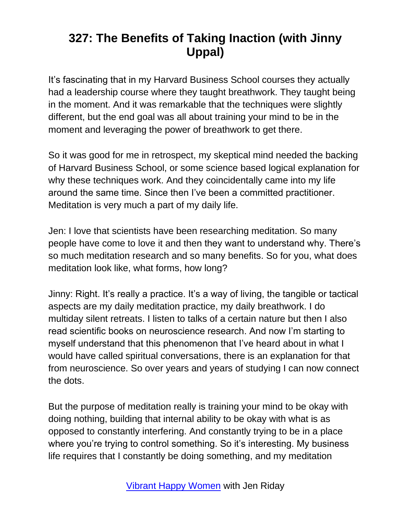It's fascinating that in my Harvard Business School courses they actually had a leadership course where they taught breathwork. They taught being in the moment. And it was remarkable that the techniques were slightly different, but the end goal was all about training your mind to be in the moment and leveraging the power of breathwork to get there.

So it was good for me in retrospect, my skeptical mind needed the backing of Harvard Business School, or some science based logical explanation for why these techniques work. And they coincidentally came into my life around the same time. Since then I've been a committed practitioner. Meditation is very much a part of my daily life.

Jen: I love that scientists have been researching meditation. So many people have come to love it and then they want to understand why. There's so much meditation research and so many benefits. So for you, what does meditation look like, what forms, how long?

Jinny: Right. It's really a practice. It's a way of living, the tangible or tactical aspects are my daily meditation practice, my daily breathwork. I do multiday silent retreats. I listen to talks of a certain nature but then I also read scientific books on neuroscience research. And now I'm starting to myself understand that this phenomenon that I've heard about in what I would have called spiritual conversations, there is an explanation for that from neuroscience. So over years and years of studying I can now connect the dots.

But the purpose of meditation really is training your mind to be okay with doing nothing, building that internal ability to be okay with what is as opposed to constantly interfering. And constantly trying to be in a place where you're trying to control something. So it's interesting. My business life requires that I constantly be doing something, and my meditation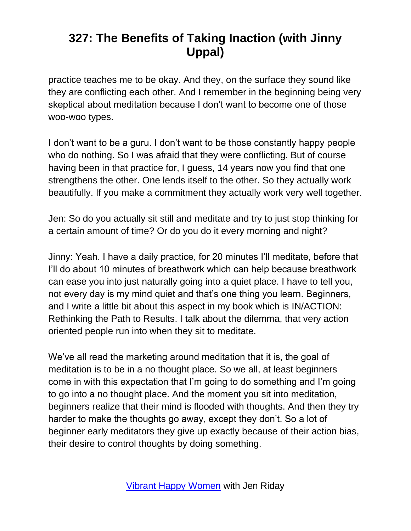practice teaches me to be okay. And they, on the surface they sound like they are conflicting each other. And I remember in the beginning being very skeptical about meditation because I don't want to become one of those woo-woo types.

I don't want to be a guru. I don't want to be those constantly happy people who do nothing. So I was afraid that they were conflicting. But of course having been in that practice for, I guess, 14 years now you find that one strengthens the other. One lends itself to the other. So they actually work beautifully. If you make a commitment they actually work very well together.

Jen: So do you actually sit still and meditate and try to just stop thinking for a certain amount of time? Or do you do it every morning and night?

Jinny: Yeah. I have a daily practice, for 20 minutes I'll meditate, before that I'll do about 10 minutes of breathwork which can help because breathwork can ease you into just naturally going into a quiet place. I have to tell you, not every day is my mind quiet and that's one thing you learn. Beginners, and I write a little bit about this aspect in my book which is IN/ACTION: Rethinking the Path to Results. I talk about the dilemma, that very action oriented people run into when they sit to meditate.

We've all read the marketing around meditation that it is, the goal of meditation is to be in a no thought place. So we all, at least beginners come in with this expectation that I'm going to do something and I'm going to go into a no thought place. And the moment you sit into meditation, beginners realize that their mind is flooded with thoughts. And then they try harder to make the thoughts go away, except they don't. So a lot of beginner early meditators they give up exactly because of their action bias, their desire to control thoughts by doing something.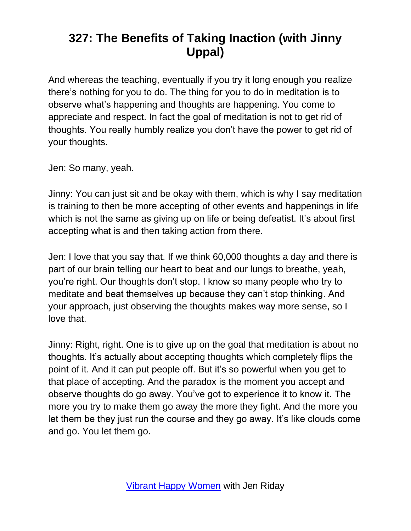And whereas the teaching, eventually if you try it long enough you realize there's nothing for you to do. The thing for you to do in meditation is to observe what's happening and thoughts are happening. You come to appreciate and respect. In fact the goal of meditation is not to get rid of thoughts. You really humbly realize you don't have the power to get rid of your thoughts.

Jen: So many, yeah.

Jinny: You can just sit and be okay with them, which is why I say meditation is training to then be more accepting of other events and happenings in life which is not the same as giving up on life or being defeatist. It's about first accepting what is and then taking action from there.

Jen: I love that you say that. If we think 60,000 thoughts a day and there is part of our brain telling our heart to beat and our lungs to breathe, yeah, you're right. Our thoughts don't stop. I know so many people who try to meditate and beat themselves up because they can't stop thinking. And your approach, just observing the thoughts makes way more sense, so I love that.

Jinny: Right, right. One is to give up on the goal that meditation is about no thoughts. It's actually about accepting thoughts which completely flips the point of it. And it can put people off. But it's so powerful when you get to that place of accepting. And the paradox is the moment you accept and observe thoughts do go away. You've got to experience it to know it. The more you try to make them go away the more they fight. And the more you let them be they just run the course and they go away. It's like clouds come and go. You let them go.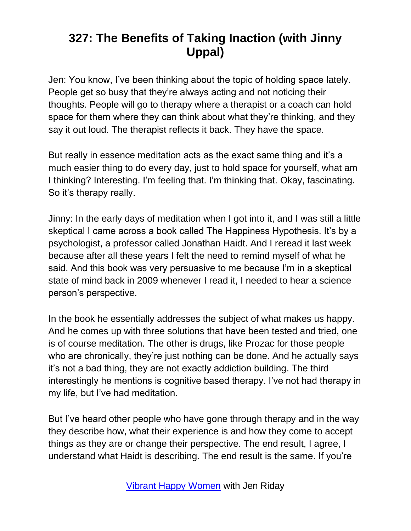Jen: You know, I've been thinking about the topic of holding space lately. People get so busy that they're always acting and not noticing their thoughts. People will go to therapy where a therapist or a coach can hold space for them where they can think about what they're thinking, and they say it out loud. The therapist reflects it back. They have the space.

But really in essence meditation acts as the exact same thing and it's a much easier thing to do every day, just to hold space for yourself, what am I thinking? Interesting. I'm feeling that. I'm thinking that. Okay, fascinating. So it's therapy really.

Jinny: In the early days of meditation when I got into it, and I was still a little skeptical I came across a book called The Happiness Hypothesis. It's by a psychologist, a professor called Jonathan Haidt. And I reread it last week because after all these years I felt the need to remind myself of what he said. And this book was very persuasive to me because I'm in a skeptical state of mind back in 2009 whenever I read it, I needed to hear a science person's perspective.

In the book he essentially addresses the subject of what makes us happy. And he comes up with three solutions that have been tested and tried, one is of course meditation. The other is drugs, like Prozac for those people who are chronically, they're just nothing can be done. And he actually says it's not a bad thing, they are not exactly addiction building. The third interestingly he mentions is cognitive based therapy. I've not had therapy in my life, but I've had meditation.

But I've heard other people who have gone through therapy and in the way they describe how, what their experience is and how they come to accept things as they are or change their perspective. The end result, I agree, I understand what Haidt is describing. The end result is the same. If you're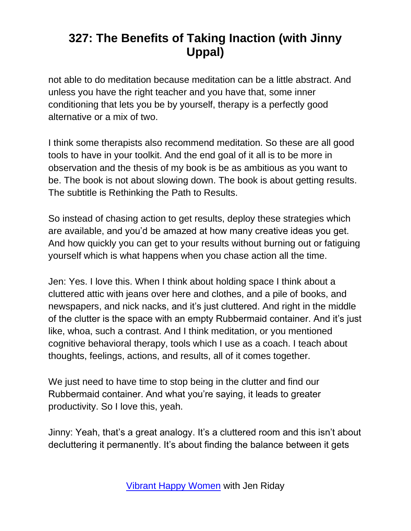not able to do meditation because meditation can be a little abstract. And unless you have the right teacher and you have that, some inner conditioning that lets you be by yourself, therapy is a perfectly good alternative or a mix of two.

I think some therapists also recommend meditation. So these are all good tools to have in your toolkit. And the end goal of it all is to be more in observation and the thesis of my book is be as ambitious as you want to be. The book is not about slowing down. The book is about getting results. The subtitle is Rethinking the Path to Results.

So instead of chasing action to get results, deploy these strategies which are available, and you'd be amazed at how many creative ideas you get. And how quickly you can get to your results without burning out or fatiguing yourself which is what happens when you chase action all the time.

Jen: Yes. I love this. When I think about holding space I think about a cluttered attic with jeans over here and clothes, and a pile of books, and newspapers, and nick nacks, and it's just cluttered. And right in the middle of the clutter is the space with an empty Rubbermaid container. And it's just like, whoa, such a contrast. And I think meditation, or you mentioned cognitive behavioral therapy, tools which I use as a coach. I teach about thoughts, feelings, actions, and results, all of it comes together.

We just need to have time to stop being in the clutter and find our Rubbermaid container. And what you're saying, it leads to greater productivity. So I love this, yeah.

Jinny: Yeah, that's a great analogy. It's a cluttered room and this isn't about decluttering it permanently. It's about finding the balance between it gets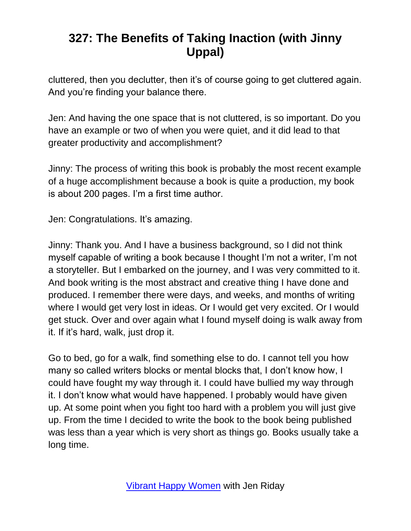cluttered, then you declutter, then it's of course going to get cluttered again. And you're finding your balance there.

Jen: And having the one space that is not cluttered, is so important. Do you have an example or two of when you were quiet, and it did lead to that greater productivity and accomplishment?

Jinny: The process of writing this book is probably the most recent example of a huge accomplishment because a book is quite a production, my book is about 200 pages. I'm a first time author.

Jen: Congratulations. It's amazing.

Jinny: Thank you. And I have a business background, so I did not think myself capable of writing a book because I thought I'm not a writer, I'm not a storyteller. But I embarked on the journey, and I was very committed to it. And book writing is the most abstract and creative thing I have done and produced. I remember there were days, and weeks, and months of writing where I would get very lost in ideas. Or I would get very excited. Or I would get stuck. Over and over again what I found myself doing is walk away from it. If it's hard, walk, just drop it.

Go to bed, go for a walk, find something else to do. I cannot tell you how many so called writers blocks or mental blocks that, I don't know how, I could have fought my way through it. I could have bullied my way through it. I don't know what would have happened. I probably would have given up. At some point when you fight too hard with a problem you will just give up. From the time I decided to write the book to the book being published was less than a year which is very short as things go. Books usually take a long time.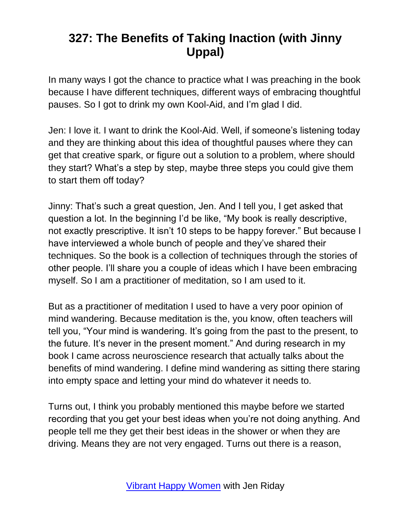In many ways I got the chance to practice what I was preaching in the book because I have different techniques, different ways of embracing thoughtful pauses. So I got to drink my own Kool-Aid, and I'm glad I did.

Jen: I love it. I want to drink the Kool-Aid. Well, if someone's listening today and they are thinking about this idea of thoughtful pauses where they can get that creative spark, or figure out a solution to a problem, where should they start? What's a step by step, maybe three steps you could give them to start them off today?

Jinny: That's such a great question, Jen. And I tell you, I get asked that question a lot. In the beginning I'd be like, "My book is really descriptive, not exactly prescriptive. It isn't 10 steps to be happy forever." But because I have interviewed a whole bunch of people and they've shared their techniques. So the book is a collection of techniques through the stories of other people. I'll share you a couple of ideas which I have been embracing myself. So I am a practitioner of meditation, so I am used to it.

But as a practitioner of meditation I used to have a very poor opinion of mind wandering. Because meditation is the, you know, often teachers will tell you, "Your mind is wandering. It's going from the past to the present, to the future. It's never in the present moment." And during research in my book I came across neuroscience research that actually talks about the benefits of mind wandering. I define mind wandering as sitting there staring into empty space and letting your mind do whatever it needs to.

Turns out, I think you probably mentioned this maybe before we started recording that you get your best ideas when you're not doing anything. And people tell me they get their best ideas in the shower or when they are driving. Means they are not very engaged. Turns out there is a reason,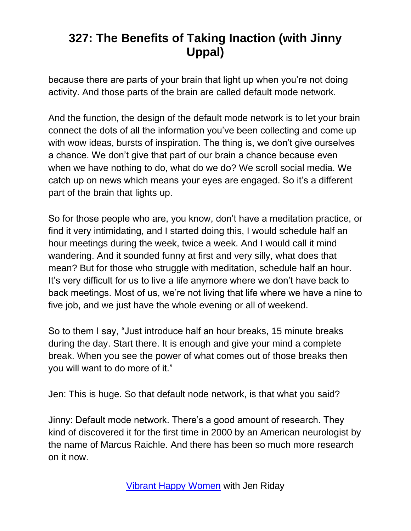because there are parts of your brain that light up when you're not doing activity. And those parts of the brain are called default mode network.

And the function, the design of the default mode network is to let your brain connect the dots of all the information you've been collecting and come up with wow ideas, bursts of inspiration. The thing is, we don't give ourselves a chance. We don't give that part of our brain a chance because even when we have nothing to do, what do we do? We scroll social media. We catch up on news which means your eyes are engaged. So it's a different part of the brain that lights up.

So for those people who are, you know, don't have a meditation practice, or find it very intimidating, and I started doing this, I would schedule half an hour meetings during the week, twice a week. And I would call it mind wandering. And it sounded funny at first and very silly, what does that mean? But for those who struggle with meditation, schedule half an hour. It's very difficult for us to live a life anymore where we don't have back to back meetings. Most of us, we're not living that life where we have a nine to five job, and we just have the whole evening or all of weekend.

So to them I say, "Just introduce half an hour breaks, 15 minute breaks during the day. Start there. It is enough and give your mind a complete break. When you see the power of what comes out of those breaks then you will want to do more of it."

Jen: This is huge. So that default node network, is that what you said?

Jinny: Default mode network. There's a good amount of research. They kind of discovered it for the first time in 2000 by an American neurologist by the name of Marcus Raichle. And there has been so much more research on it now.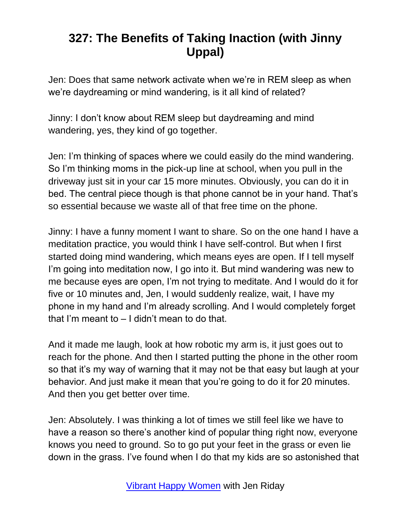Jen: Does that same network activate when we're in REM sleep as when we're daydreaming or mind wandering, is it all kind of related?

Jinny: I don't know about REM sleep but daydreaming and mind wandering, yes, they kind of go together.

Jen: I'm thinking of spaces where we could easily do the mind wandering. So I'm thinking moms in the pick-up line at school, when you pull in the driveway just sit in your car 15 more minutes. Obviously, you can do it in bed. The central piece though is that phone cannot be in your hand. That's so essential because we waste all of that free time on the phone.

Jinny: I have a funny moment I want to share. So on the one hand I have a meditation practice, you would think I have self-control. But when I first started doing mind wandering, which means eyes are open. If I tell myself I'm going into meditation now, I go into it. But mind wandering was new to me because eyes are open, I'm not trying to meditate. And I would do it for five or 10 minutes and, Jen, I would suddenly realize, wait, I have my phone in my hand and I'm already scrolling. And I would completely forget that I'm meant to – I didn't mean to do that.

And it made me laugh, look at how robotic my arm is, it just goes out to reach for the phone. And then I started putting the phone in the other room so that it's my way of warning that it may not be that easy but laugh at your behavior. And just make it mean that you're going to do it for 20 minutes. And then you get better over time.

Jen: Absolutely. I was thinking a lot of times we still feel like we have to have a reason so there's another kind of popular thing right now, everyone knows you need to ground. So to go put your feet in the grass or even lie down in the grass. I've found when I do that my kids are so astonished that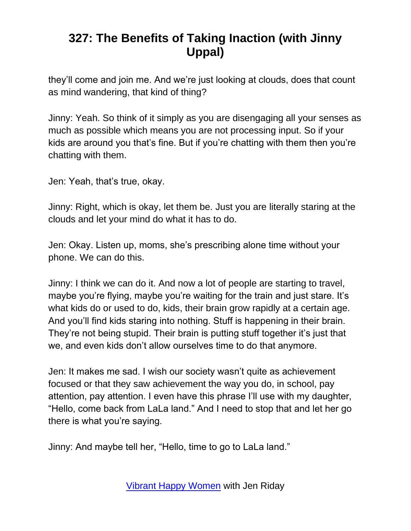they'll come and join me. And we're just looking at clouds, does that count as mind wandering, that kind of thing?

Jinny: Yeah. So think of it simply as you are disengaging all your senses as much as possible which means you are not processing input. So if your kids are around you that's fine. But if you're chatting with them then you're chatting with them.

Jen: Yeah, that's true, okay.

Jinny: Right, which is okay, let them be. Just you are literally staring at the clouds and let your mind do what it has to do.

Jen: Okay. Listen up, moms, she's prescribing alone time without your phone. We can do this.

Jinny: I think we can do it. And now a lot of people are starting to travel, maybe you're flying, maybe you're waiting for the train and just stare. It's what kids do or used to do, kids, their brain grow rapidly at a certain age. And you'll find kids staring into nothing. Stuff is happening in their brain. They're not being stupid. Their brain is putting stuff together it's just that we, and even kids don't allow ourselves time to do that anymore.

Jen: It makes me sad. I wish our society wasn't quite as achievement focused or that they saw achievement the way you do, in school, pay attention, pay attention. I even have this phrase I'll use with my daughter, "Hello, come back from LaLa land." And I need to stop that and let her go there is what you're saying.

Jinny: And maybe tell her, "Hello, time to go to LaLa land."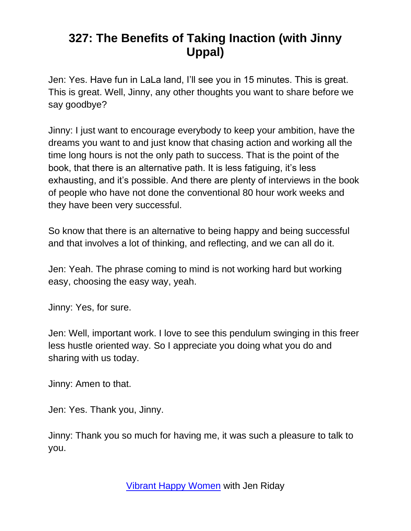Jen: Yes. Have fun in LaLa land, I'll see you in 15 minutes. This is great. This is great. Well, Jinny, any other thoughts you want to share before we say goodbye?

Jinny: I just want to encourage everybody to keep your ambition, have the dreams you want to and just know that chasing action and working all the time long hours is not the only path to success. That is the point of the book, that there is an alternative path. It is less fatiguing, it's less exhausting, and it's possible. And there are plenty of interviews in the book of people who have not done the conventional 80 hour work weeks and they have been very successful.

So know that there is an alternative to being happy and being successful and that involves a lot of thinking, and reflecting, and we can all do it.

Jen: Yeah. The phrase coming to mind is not working hard but working easy, choosing the easy way, yeah.

Jinny: Yes, for sure.

Jen: Well, important work. I love to see this pendulum swinging in this freer less hustle oriented way. So I appreciate you doing what you do and sharing with us today.

Jinny: Amen to that.

Jen: Yes. Thank you, Jinny.

Jinny: Thank you so much for having me, it was such a pleasure to talk to you.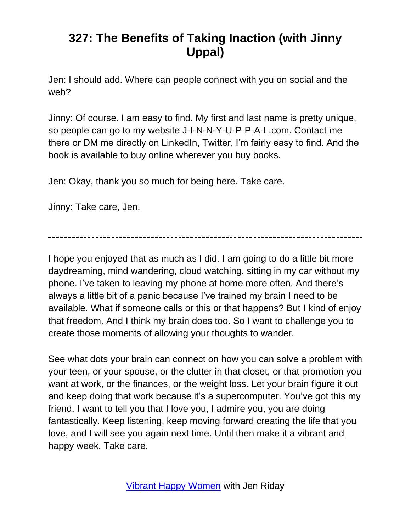Jen: I should add. Where can people connect with you on social and the web?

Jinny: Of course. I am easy to find. My first and last name is pretty unique, so people can go to my website J-I-N-N-Y-U-P-P-A-L.com. Contact me there or DM me directly on LinkedIn, Twitter, I'm fairly easy to find. And the book is available to buy online wherever you buy books.

Jen: Okay, thank you so much for being here. Take care.

Jinny: Take care, Jen.

I hope you enjoyed that as much as I did. I am going to do a little bit more daydreaming, mind wandering, cloud watching, sitting in my car without my phone. I've taken to leaving my phone at home more often. And there's always a little bit of a panic because I've trained my brain I need to be available. What if someone calls or this or that happens? But I kind of enjoy that freedom. And I think my brain does too. So I want to challenge you to create those moments of allowing your thoughts to wander.

See what dots your brain can connect on how you can solve a problem with your teen, or your spouse, or the clutter in that closet, or that promotion you want at work, or the finances, or the weight loss. Let your brain figure it out and keep doing that work because it's a supercomputer. You've got this my friend. I want to tell you that I love you, I admire you, you are doing fantastically. Keep listening, keep moving forward creating the life that you love, and I will see you again next time. Until then make it a vibrant and happy week. Take care.